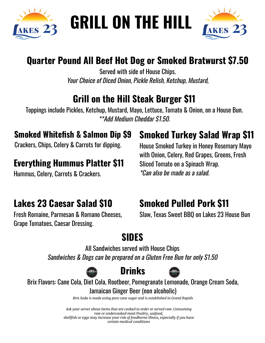

# **GRILL ON THE HILL**



#### **Quarter Pound All Beef Hot Dog or Smoked Bratwurst \$7.50**

Served with side of House Chips. Your Choice of Diced Onion, Pickle Relish, Ketchup, Mustard,

#### **Grill on the Hill Steak Burger \$11**

Toppings include Pickles, Ketchup, Mustard, Mayo, Lettuce, Tomato & Onion, on a House Bun. \*\*Add Medium Cheddar \$1.50.

#### **Smoked Whitefish & Salmon Dip \$9**

Crackers, Chips, Celery & Carrots for dipping.

#### **Everything Hummus Platter \$11**

Hummus, Celery, Carrots & Crackers.

#### **Lakes 23 Caesar Salad \$10**

Fresh Romaine, Parmesan & Romano Cheeses, Grape Tomatoes, Caesar Dressing.

#### **Smoked Turkey Salad Wrap \$11**

House Smoked Turkey in Honey Rosemary Mayo with Onion, Celery, Red Grapes, Greens, Fresh Sliced Tomato on a Spinach Wrap. \*Can also be made as a salad.

### **Smoked Pulled Pork \$11**

Slaw, Texas Sweet BBQ on Lakes 23 House Bun

## **SIDES**

All Sandwiches served with House Chips Sandwiches & Dogs can be prepared on a Gluten Free Bun for only \$1.50





Brix Flavors: Cane Cola, Diet Cola, Rootbeer, Pomegranate Lemonade, Orange Cream Soda, Jamaican Ginger Beer (non alcoholic)

*Brix Soda is made using pure cane sugar and is established in Grand Rapids*

*Ask your server about items that are cooked to order or served raw. Consuming raw or undercooked meat Poultry, seafood, shellfish or eggs may increase your risk of foodborne illness, especially if you have certain medical conditions*